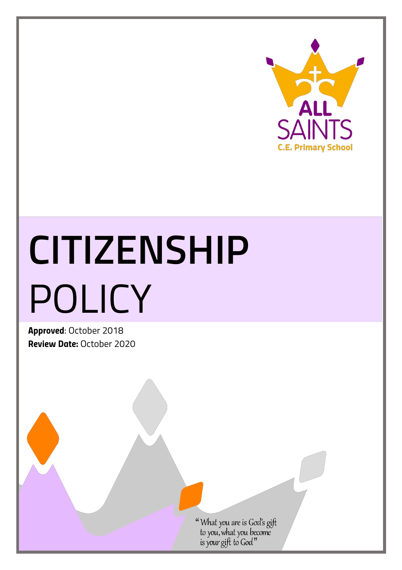

## **CITIZENSHIP** POLICY

*Approved*: October 2018 *Review Date:* October 2020

"What you are is God's gift<br>to you, what you become<br>is your gift to God"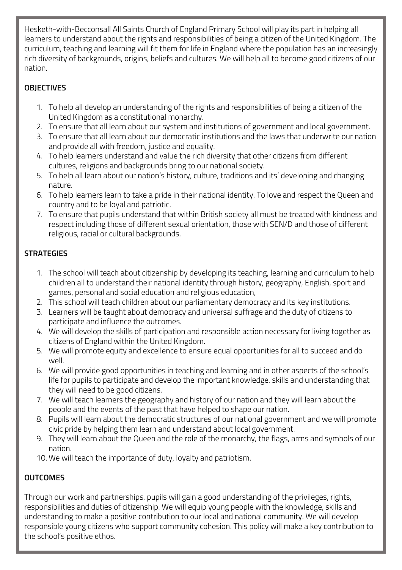Hesketh-with-Becconsall All Saints Church of England Primary School will play its part in helping all learners to understand about the rights and responsibilities of being a citizen of the United Kingdom. The curriculum, teaching and learning will fit them for life in England where the population has an increasingly rich diversity of backgrounds, origins, beliefs and cultures. We will help all to become good citizens of our nation.

## **OBJECTIVES**

- 1. To help all develop an understanding of the rights and responsibilities of being a citizen of the United Kingdom as a constitutional monarchy.
- 2. To ensure that all learn about our system and institutions of government and local government.
- 3. To ensure that all learn about our democratic institutions and the laws that underwrite our nation and provide all with freedom, justice and equality.
- 4. To help learners understand and value the rich diversity that other citizens from different cultures, religions and backgrounds bring to our national society.
- 5. To help all learn about our nation's history, culture, traditions and its' developing and changing nature.
- 6. To help learners learn to take a pride in their national identity. To love and respect the Queen and country and to be loyal and patriotic.
- 7. To ensure that pupils understand that within British society all must be treated with kindness and respect including those of different sexual orientation, those with SEN/D and those of different religious, racial or cultural backgrounds.

## **STRATEGIES**

- 1. The school will teach about citizenship by developing its teaching, learning and curriculum to help children all to understand their national identity through history, geography, English, sport and games, personal and social education and religious education,
- 2. This school will teach children about our parliamentary democracy and its key institutions.
- 3. Learners will be taught about democracy and universal suffrage and the duty of citizens to participate and influence the outcomes.
- 4. We will develop the skills of participation and responsible action necessary for living together as citizens of England within the United Kingdom.
- 5. We will promote equity and excellence to ensure equal opportunities for all to succeed and do well.
- 6. We will provide good opportunities in teaching and learning and in other aspects of the school's life for pupils to participate and develop the important knowledge, skills and understanding that they will need to be good citizens.
- 7. We will teach learners the geography and history of our nation and they will learn about the people and the events of the past that have helped to shape our nation.
- 8. Pupils will learn about the democratic structures of our national government and we will promote civic pride by helping them learn and understand about local government.
- 9. They will learn about the Queen and the role of the monarchy, the flags, arms and symbols of our nation.
- 10. We will teach the importance of duty, loyalty and patriotism.

## **OUTCOMES**

Through our work and partnerships, pupils will gain a good understanding of the privileges, rights, responsibilities and duties of citizenship. We will equip young people with the knowledge, skills and understanding to make a positive contribution to our local and national community. We will develop responsible young citizens who support community cohesion. This policy will make a key contribution to the school's positive ethos.